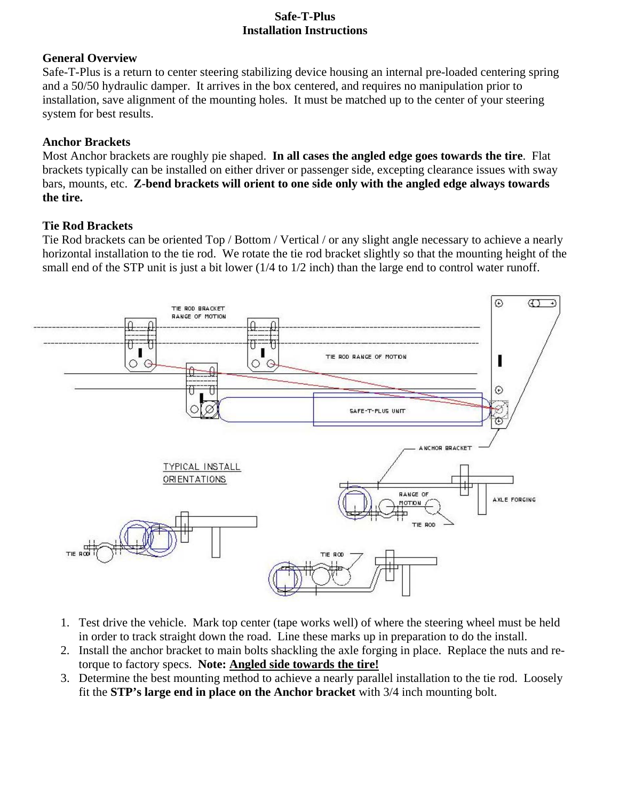#### **Safe-T-Plus Installation Instructions**

## **General Overview**

Safe-T-Plus is a return to center steering stabilizing device housing an internal pre-loaded centering spring and a 50/50 hydraulic damper. It arrives in the box centered, and requires no manipulation prior to installation, save alignment of the mounting holes. It must be matched up to the center of your steering system for best results.

## **Anchor Brackets**

Most Anchor brackets are roughly pie shaped. **In all cases the angled edge goes towards the tire**. Flat brackets typically can be installed on either driver or passenger side, excepting clearance issues with sway bars, mounts, etc. **Z-bend brackets will orient to one side only with the angled edge always towards the tire.**

## **Tie Rod Brackets**

Tie Rod brackets can be oriented Top / Bottom / Vertical / or any slight angle necessary to achieve a nearly horizontal installation to the tie rod. We rotate the tie rod bracket slightly so that the mounting height of the small end of the STP unit is just a bit lower (1/4 to 1/2 inch) than the large end to control water runoff.



- 1. Test drive the vehicle. Mark top center (tape works well) of where the steering wheel must be held in order to track straight down the road. Line these marks up in preparation to do the install.
- 2. Install the anchor bracket to main bolts shackling the axle forging in place. Replace the nuts and retorque to factory specs. **Note: Angled side towards the tire!**
- 3. Determine the best mounting method to achieve a nearly parallel installation to the tie rod. Loosely fit the **STP's large end in place on the Anchor bracket** with 3/4 inch mounting bolt.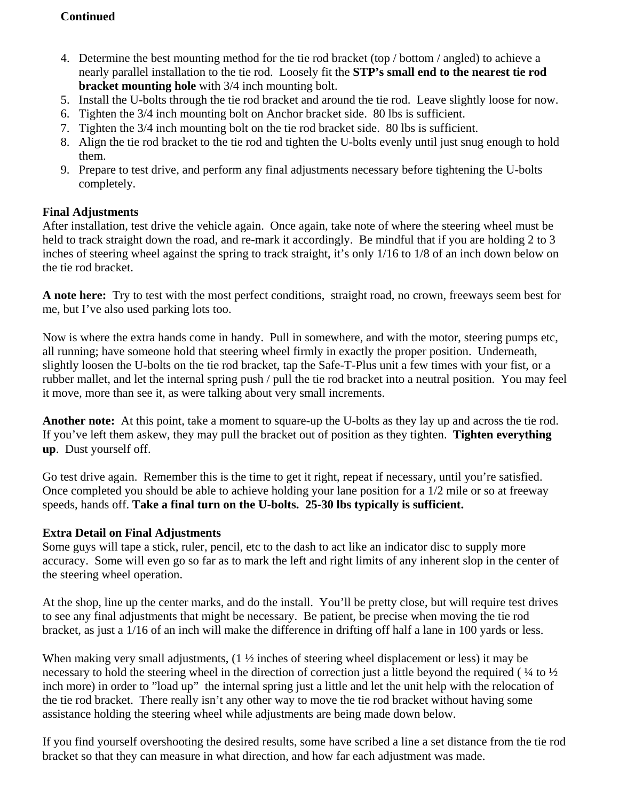## **Continued**

- 4. Determine the best mounting method for the tie rod bracket (top / bottom / angled) to achieve a nearly parallel installation to the tie rod. Loosely fit the **STP's small end to the nearest tie rod bracket mounting hole** with 3/4 inch mounting bolt.
- 5. Install the U-bolts through the tie rod bracket and around the tie rod. Leave slightly loose for now.
- 6. Tighten the 3/4 inch mounting bolt on Anchor bracket side. 80 lbs is sufficient.
- 7. Tighten the 3/4 inch mounting bolt on the tie rod bracket side. 80 lbs is sufficient.
- 8. Align the tie rod bracket to the tie rod and tighten the U-bolts evenly until just snug enough to hold them.
- 9. Prepare to test drive, and perform any final adjustments necessary before tightening the U-bolts completely.

# **Final Adjustments**

After installation, test drive the vehicle again. Once again, take note of where the steering wheel must be held to track straight down the road, and re-mark it accordingly. Be mindful that if you are holding 2 to 3 inches of steering wheel against the spring to track straight, it's only 1/16 to 1/8 of an inch down below on the tie rod bracket.

**A note here:** Try to test with the most perfect conditions, straight road, no crown, freeways seem best for me, but I've also used parking lots too.

Now is where the extra hands come in handy. Pull in somewhere, and with the motor, steering pumps etc, all running; have someone hold that steering wheel firmly in exactly the proper position. Underneath, slightly loosen the U-bolts on the tie rod bracket, tap the Safe-T-Plus unit a few times with your fist, or a rubber mallet, and let the internal spring push / pull the tie rod bracket into a neutral position. You may feel it move, more than see it, as were talking about very small increments.

**Another note:** At this point, take a moment to square-up the U-bolts as they lay up and across the tie rod. If you've left them askew, they may pull the bracket out of position as they tighten. **Tighten everything up**. Dust yourself off.

Go test drive again. Remember this is the time to get it right, repeat if necessary, until you're satisfied. Once completed you should be able to achieve holding your lane position for a 1/2 mile or so at freeway speeds, hands off. **Take a final turn on the U-bolts. 25-30 lbs typically is sufficient.** 

#### **Extra Detail on Final Adjustments**

Some guys will tape a stick, ruler, pencil, etc to the dash to act like an indicator disc to supply more accuracy. Some will even go so far as to mark the left and right limits of any inherent slop in the center of the steering wheel operation.

At the shop, line up the center marks, and do the install. You'll be pretty close, but will require test drives to see any final adjustments that might be necessary. Be patient, be precise when moving the tie rod bracket, as just a 1/16 of an inch will make the difference in drifting off half a lane in 100 yards or less.

When making very small adjustments,  $(1 \frac{1}{2})$  inches of steering wheel displacement or less) it may be necessary to hold the steering wheel in the direction of correction just a little beyond the required ( ¼ to ½ inch more) in order to "load up" the internal spring just a little and let the unit help with the relocation of the tie rod bracket. There really isn't any other way to move the tie rod bracket without having some assistance holding the steering wheel while adjustments are being made down below.

If you find yourself overshooting the desired results, some have scribed a line a set distance from the tie rod bracket so that they can measure in what direction, and how far each adjustment was made.